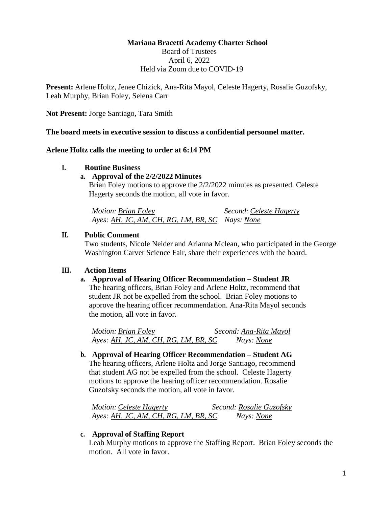# **Mariana Bracetti Academy Charter School**

Board of Trustees April 6, 2022 Held via Zoom due to COVID-19

**Present:** Arlene Holtz, Jenee Chizick, Ana-Rita Mayol, Celeste Hagerty, Rosalie Guzofsky, Leah Murphy, Brian Foley, Selena Carr

**Not Present:** Jorge Santiago, Tara Smith

**The board meets in executive session to discuss a confidential personnel matter.**

### **Arlene Holtz calls the meeting to order at 6:14 PM**

#### **I. Routine Business**

### **a. Approval of the 2/2/2022 Minutes**

Brian Foley motions to approve the 2/2/2022 minutes as presented. Celeste Hagerty seconds the motion, all vote in favor.

*Motion: Brian Foley* Second: *Celeste Hagerty Ayes: AH, JC, AM, CH, RG, LM, BR, SC Nays: None*

### **II. Public Comment**

Two students, Nicole Neider and Arianna Mclean, who participated in the George Washington Carver Science Fair, share their experiences with the board.

## **III. Action Items**

## **a. Approval of Hearing Officer Recommendation – Student JR**

The hearing officers, Brian Foley and Arlene Holtz, recommend that student JR not be expelled from the school. Brian Foley motions to approve the hearing officer recommendation. Ana-Rita Mayol seconds the motion, all vote in favor.

*Motion: Brian Foley Second: Ana-Rita Mayol Ayes: AH, JC, AM, CH, RG, LM, BR, SC Nays: None*

**b. Approval of Hearing Officer Recommendation – Student AG** The hearing officers, Arlene Holtz and Jorge Santiago, recommend that student AG not be expelled from the school. Celeste Hagerty motions to approve the hearing officer recommendation. Rosalie Guzofsky seconds the motion, all vote in favor.

*Motion: Celeste Hagerty Second: Rosalie Guzofsky Ayes: AH, JC, AM, CH, RG, LM, BR, SC Nays: None*

#### **c. Approval of Staffing Report**

Leah Murphy motions to approve the Staffing Report. Brian Foley seconds the motion. All vote in favor.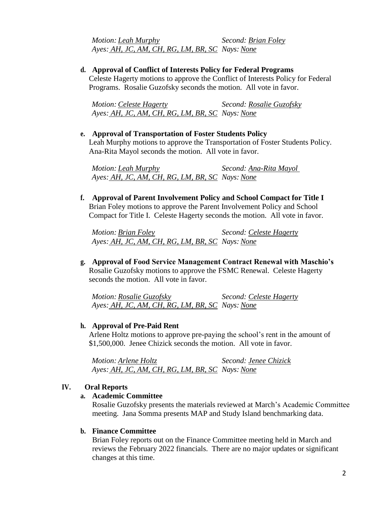*Motion: Leah Murphy Second: Brian Foley Ayes: AH, JC, AM, CH, RG, LM, BR, SC Nays: None*

**d. Approval of Conflict of Interests Policy for Federal Programs**

Celeste Hagerty motions to approve the Conflict of Interests Policy for Federal Programs. Rosalie Guzofsky seconds the motion. All vote in favor.

*Motion: Celeste Hagerty Second: Rosalie Guzofsky Ayes: AH, JC, AM, CH, RG, LM, BR, SC Nays: None*

**e. Approval of Transportation of Foster Students Policy** Leah Murphy motions to approve the Transportation of Foster Students Policy. Ana-Rita Mayol seconds the motion. All vote in favor.

*Motion: Leah Murphy Second: Ana-Rita Mayol Ayes: AH, JC, AM, CH, RG, LM, BR, SC Nays: None*

**f. Approval of Parent Involvement Policy and School Compact for Title I** Brian Foley motions to approve the Parent Involvement Policy and School Compact for Title I. Celeste Hagerty seconds the motion. All vote in favor.

*Motion: Brian Foley Second: Celeste Hagerty Ayes: AH, JC, AM, CH, RG, LM, BR, SC Nays: None*

**g. Approval of Food Service Management Contract Renewal with Maschio's** Rosalie Guzofsky motions to approve the FSMC Renewal. Celeste Hagerty seconds the motion. All vote in favor.

*Motion: Rosalie Guzofsky Second: Celeste Hagerty Ayes: AH, JC, AM, CH, RG, LM, BR, SC Nays: None*

## **h. Approval of Pre-Paid Rent**

Arlene Holtz motions to approve pre-paying the school's rent in the amount of \$1,500,000. Jenee Chizick seconds the motion. All vote in favor.

*Motion: Arlene Holtz Second: Jenee Chizick Ayes: AH, JC, AM, CH, RG, LM, BR, SC Nays: None*

#### **IV. Oral Reports**

## **a. Academic Committee**

Rosalie Guzofsky presents the materials reviewed at March's Academic Committee meeting. Jana Somma presents MAP and Study Island benchmarking data.

### **b. Finance Committee**

Brian Foley reports out on the Finance Committee meeting held in March and reviews the February 2022 financials. There are no major updates or significant changes at this time.